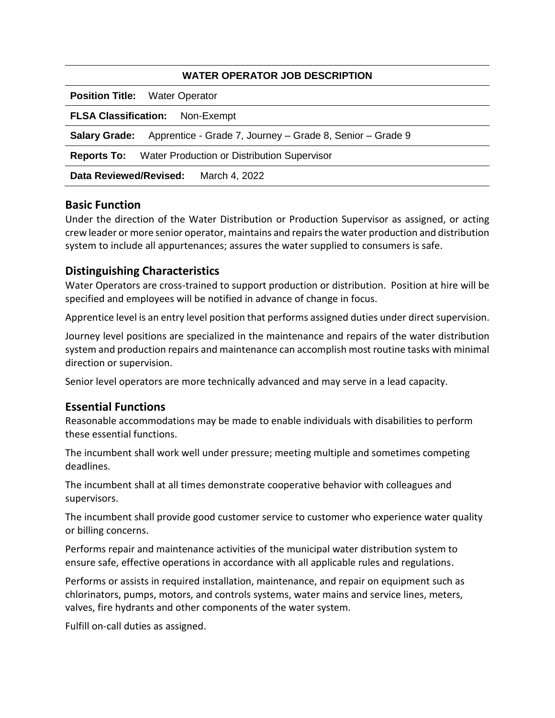## **WATER OPERATOR JOB DESCRIPTION**

**Position Title:** Water Operator

**FLSA Classification:** Non-Exempt

**Salary Grade:** Apprentice - Grade 7, Journey – Grade 8, Senior – Grade 9

**Reports To:** Water Production or Distribution Supervisor

**Data Reviewed/Revised:** March 4, 2022

## **Basic Function**

Under the direction of the Water Distribution or Production Supervisor as assigned, or acting crew leader or more senior operator, maintains and repairs the water production and distribution system to include all appurtenances; assures the water supplied to consumers is safe.

# **Distinguishing Characteristics**

Water Operators are cross-trained to support production or distribution. Position at hire will be specified and employees will be notified in advance of change in focus.

Apprentice level is an entry level position that performs assigned duties under direct supervision.

Journey level positions are specialized in the maintenance and repairs of the water distribution system and production repairs and maintenance can accomplish most routine tasks with minimal direction or supervision.

Senior level operators are more technically advanced and may serve in a lead capacity.

## **Essential Functions**

Reasonable accommodations may be made to enable individuals with disabilities to perform these essential functions.

The incumbent shall work well under pressure; meeting multiple and sometimes competing deadlines.

The incumbent shall at all times demonstrate cooperative behavior with colleagues and supervisors.

The incumbent shall provide good customer service to customer who experience water quality or billing concerns.

Performs repair and maintenance activities of the municipal water distribution system to ensure safe, effective operations in accordance with all applicable rules and regulations.

Performs or assists in required installation, maintenance, and repair on equipment such as chlorinators, pumps, motors, and controls systems, water mains and service lines, meters, valves, fire hydrants and other components of the water system.

Fulfill on-call duties as assigned.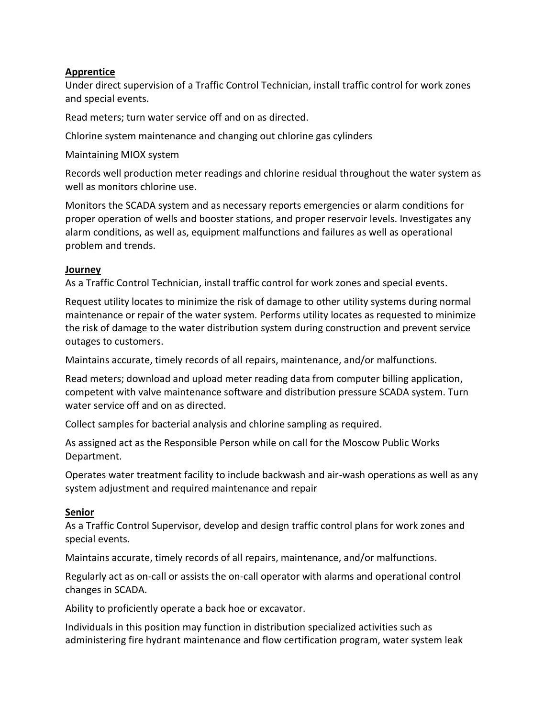## **Apprentice**

Under direct supervision of a Traffic Control Technician, install traffic control for work zones and special events.

Read meters; turn water service off and on as directed.

Chlorine system maintenance and changing out chlorine gas cylinders

Maintaining MIOX system

Records well production meter readings and chlorine residual throughout the water system as well as monitors chlorine use.

Monitors the SCADA system and as necessary reports emergencies or alarm conditions for proper operation of wells and booster stations, and proper reservoir levels. Investigates any alarm conditions, as well as, equipment malfunctions and failures as well as operational problem and trends.

## **Journey**

As a Traffic Control Technician, install traffic control for work zones and special events.

Request utility locates to minimize the risk of damage to other utility systems during normal maintenance or repair of the water system. Performs utility locates as requested to minimize the risk of damage to the water distribution system during construction and prevent service outages to customers.

Maintains accurate, timely records of all repairs, maintenance, and/or malfunctions.

Read meters; download and upload meter reading data from computer billing application, competent with valve maintenance software and distribution pressure SCADA system. Turn water service off and on as directed.

Collect samples for bacterial analysis and chlorine sampling as required.

As assigned act as the Responsible Person while on call for the Moscow Public Works Department.

Operates water treatment facility to include backwash and air-wash operations as well as any system adjustment and required maintenance and repair

## **Senior**

As a Traffic Control Supervisor, develop and design traffic control plans for work zones and special events.

Maintains accurate, timely records of all repairs, maintenance, and/or malfunctions.

Regularly act as on-call or assists the on-call operator with alarms and operational control changes in SCADA.

Ability to proficiently operate a back hoe or excavator.

Individuals in this position may function in distribution specialized activities such as administering fire hydrant maintenance and flow certification program, water system leak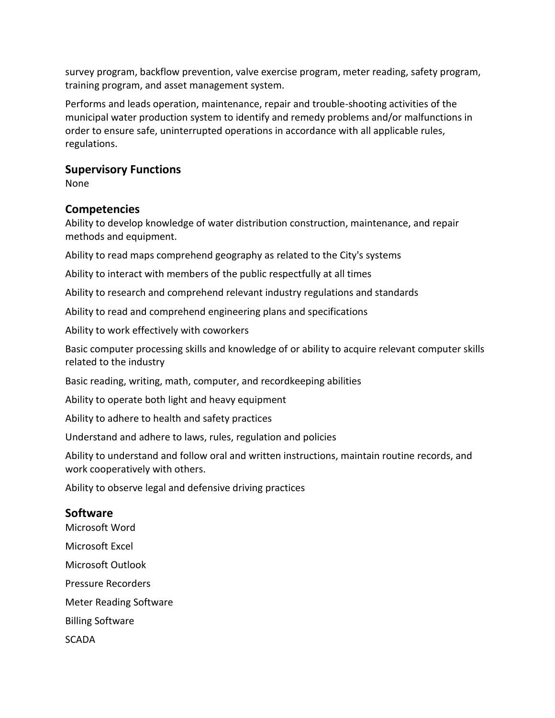survey program, backflow prevention, valve exercise program, meter reading, safety program, training program, and asset management system.

Performs and leads operation, maintenance, repair and trouble-shooting activities of the municipal water production system to identify and remedy problems and/or malfunctions in order to ensure safe, uninterrupted operations in accordance with all applicable rules, regulations.

# **Supervisory Functions**

None

# **Competencies**

Ability to develop knowledge of water distribution construction, maintenance, and repair methods and equipment.

Ability to read maps comprehend geography as related to the City's systems

Ability to interact with members of the public respectfully at all times

Ability to research and comprehend relevant industry regulations and standards

Ability to read and comprehend engineering plans and specifications

Ability to work effectively with coworkers

Basic computer processing skills and knowledge of or ability to acquire relevant computer skills related to the industry

Basic reading, writing, math, computer, and recordkeeping abilities

Ability to operate both light and heavy equipment

Ability to adhere to health and safety practices

Understand and adhere to laws, rules, regulation and policies

Ability to understand and follow oral and written instructions, maintain routine records, and work cooperatively with others.

Ability to observe legal and defensive driving practices

# **Software**

Microsoft Word Microsoft Excel Microsoft Outlook Pressure Recorders Meter Reading Software Billing Software **SCADA**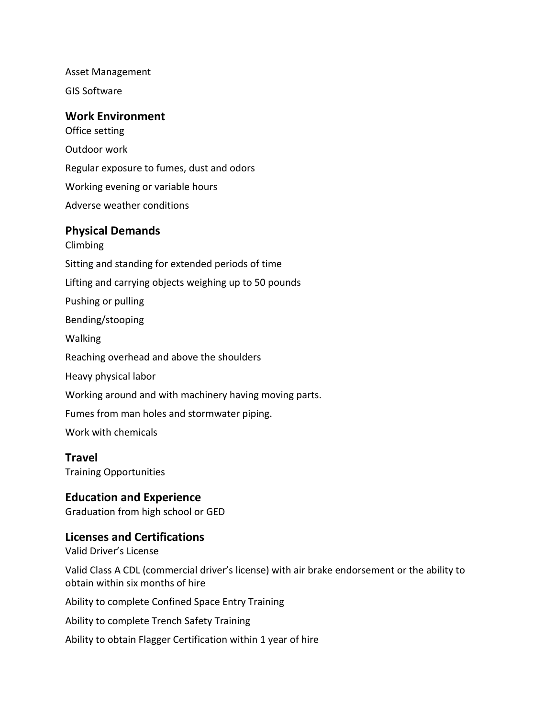Asset Management GIS Software **Work Environment**

Office setting Outdoor work Regular exposure to fumes, dust and odors Working evening or variable hours

#### **Physical Demands**

Adverse weather conditions

Climbing Sitting and standing for extended periods of time Lifting and carrying objects weighing up to 50 pounds Pushing or pulling Bending/stooping Walking Reaching overhead and above the shoulders Heavy physical labor Working around and with machinery having moving parts. Fumes from man holes and stormwater piping. Work with chemicals

#### **Travel**

Training Opportunities

## **Education and Experience**

Graduation from high school or GED

#### **Licenses and Certifications**

Valid Driver's License

Valid Class A CDL (commercial driver's license) with air brake endorsement or the ability to obtain within six months of hire

Ability to complete Confined Space Entry Training

Ability to complete Trench Safety Training

Ability to obtain Flagger Certification within 1 year of hire